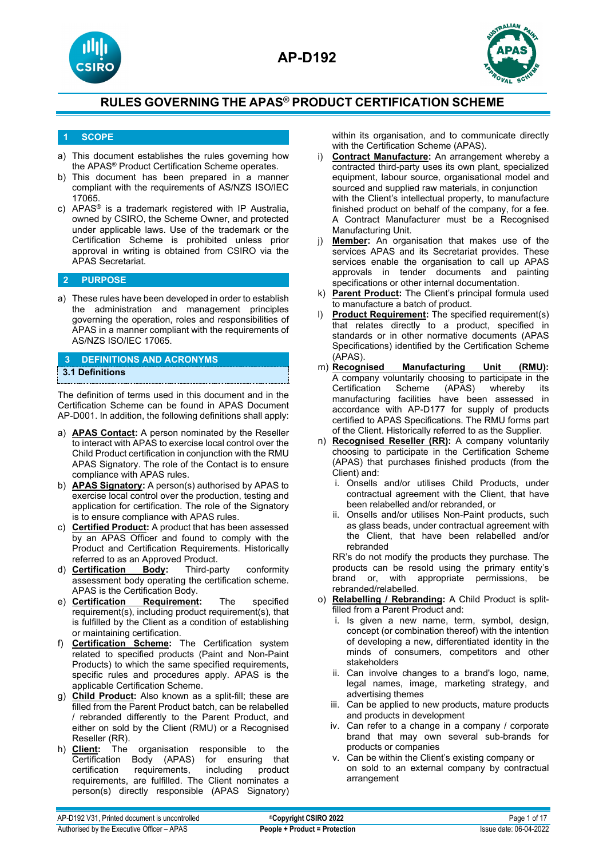



## **1 SCOPE**

- a) This document establishes the rules governing how the APAS® Product Certification Scheme operates.
- b) This document has been prepared in a manner compliant with the requirements of AS/NZS ISO/IEC 17065.
- c) APAS® is a trademark registered with IP Australia, owned by CSIRO, the Scheme Owner, and protected under applicable laws. Use of the trademark or the Certification Scheme is prohibited unless prior approval in writing is obtained from CSIRO via the APAS Secretariat.

## **2 PURPOSE**

a) These rules have been developed in order to establish the administration and management principles governing the operation, roles and responsibilities of APAS in a manner compliant with the requirements of AS/NZS ISO/IEC 17065.

## **3 DEFINITIONS AND ACRONYMS**

### **3.1 Definitions**

The definition of terms used in this document and in the Certification Scheme can be found in APAS Document AP-D001. In addition, the following definitions shall apply:

- a) **APAS Contact:** A person nominated by the Reseller to interact with APAS to exercise local control over the Child Product certification in conjunction with the RMU APAS Signatory. The role of the Contact is to ensure compliance with APAS rules.
- b) **APAS Signatory:** A person(s) authorised by APAS to exercise local control over the production, testing and application for certification. The role of the Signatory is to ensure compliance with APAS rules.
- c) **Certified Product:** A product that has been assessed by an APAS Officer and found to comply with the Product and Certification Requirements. Historically
- referred to as an Approved Product.<br>**Certification** Body: Third-party d) **Certification Body:** Third-party conformity assessment body operating the certification scheme. APAS is the Certification Body.<br>Certification Requirement:
- e) **Certification Requirement:** The specified requirement(s), including product requirement(s), that is fulfilled by the Client as a condition of establishing or maintaining certification.
- f) **Certification Scheme:** The Certification system related to specified products (Paint and Non-Paint Products) to which the same specified requirements, specific rules and procedures apply. APAS is the applicable Certification Scheme.
- g) **Child Product:** Also known as a split-fill; these are filled from the Parent Product batch, can be relabelled / rebranded differently to the Parent Product, and either on sold by the Client (RMU) or a Recognised Reseller (RR).
- h) **Client:** The organisation responsible to the (APAS) for ensuring that<br>ements, including product certification requirements, including requirements, are fulfilled. The Client nominates a person(s) directly responsible (APAS Signatory)

within its organisation, and to communicate directly with the Certification Scheme (APAS).

- i) **Contract Manufacture:** An arrangement whereby a contracted third-party uses its own plant, specialized equipment, labour source, organisational model and sourced and supplied raw materials, in conjunction with the Client's intellectual property, to manufacture finished product on behalf of the company, for a fee. A Contract Manufacturer must be a Recognised Manufacturing Unit.
- j) **Member:** An organisation that makes use of the services APAS and its Secretariat provides. These services enable the organisation to call up APAS approvals in tender documents and painting specifications or other internal documentation.
- k) **Parent Product:** The Client's principal formula used to manufacture a batch of product.
- l) **Product Requirement:** The specified requirement(s) that relates directly to a product, specified in standards or in other normative documents (APAS Specifications) identified by the Certification Scheme
- (APAS).<br>m) **Recognised Manufacturing Unit (RMU):** A company voluntarily choosing to participate in the Certification Scheme (APAS) whereby its manufacturing facilities have been assessed in accordance with AP-D177 for supply of products certified to APAS Specifications. The RMU forms part of the Client. Historically referred to as the Supplier.
- n) **Recognised Reseller (RR):** A company voluntarily choosing to participate in the Certification Scheme (APAS) that purchases finished products (from the Client) and:
	- i. Onsells and/or utilises Child Products, under contractual agreement with the Client, that have been relabelled and/or rebranded, or
	- ii. Onsells and/or utilises Non-Paint products, such as glass beads, under contractual agreement with the Client, that have been relabelled and/or rebranded

RR's do not modify the products they purchase. The products can be resold using the primary entity's brand or, with appropriate permissions, be rebranded/relabelled.

- o) **Relabelling / Rebranding:** A Child Product is splitfilled from a Parent Product and:
	- i. Is given a new name, term, symbol, design, concept (or combination thereof) with the intention of developing a new, differentiated identity in the minds of consumers, competitors and other stakeholders
	- ii. Can involve changes to a brand's logo, name, legal names, image, marketing strategy, and advertising themes
	- iii. Can be applied to new products, mature products and products in development
	- iv. Can refer to a change in a company / corporate brand that may own several sub-brands for products or companies
	- v. Can be within the Client's existing company or on sold to an external company by contractual arrangement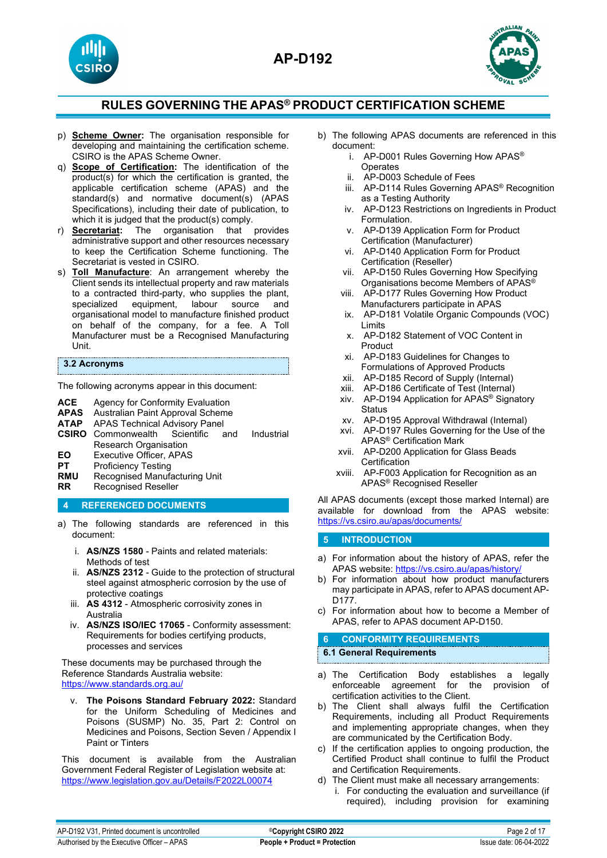



- p) **Scheme Owner:** The organisation responsible for developing and maintaining the certification scheme. CSIRO is the APAS Scheme Owner.
- q) **Scope of Certification:** The identification of the product(s) for which the certification is granted, the applicable certification scheme (APAS) and the standard(s) and normative document(s) (APAS Specifications), including their date of publication, to which it is judged that the product(s) comply.
- r) **Secretariat:** The organisation that provides administrative support and other resources necessary to keep the Certification Scheme functioning. The Secretariat is vested in CSIRO.
- s) **Toll Manufacture**: An arrangement whereby the Client sends its intellectual property and raw materials to a contracted third-party, who supplies the plant, specialized equipment, labour source and equipment, organisational model to manufacture finished product on behalf of the company, for a fee. A Toll Manufacturer must be a Recognised Manufacturing Unit.

#### **3.2 Acronyms**

The following acronyms appear in this document:

- **ACE** Agency for Conformity Evaluation<br>**APAS** Australian Paint Approval Scheme
- **APAS** Australian Paint Approval Scheme
- APAS Technical Advisory Panel<br>Commonwealth Scientific and
- **CSIRO** Commonwealth Scientific and Industrial Research Organisation
- **EO** Executive Officer, APAS<br>**PT** Proficiency Testing
- **PT** Proficiency Testing<br> **RMU** Recognised Manufa
- **RMU** Recognised Manufacturing Unit<br>**RR** Recognised Reseller
- **Recognised Reseller**

## **4 REFERENCED DOCUMENTS**

- a) The following standards are referenced in this document:
	- i. **AS/NZS 1580** Paints and related materials: Methods of test
	- ii. **AS/NZS 2312** Guide to the protection of structural steel against atmospheric corrosion by the use of protective coatings
	- iii. **AS 4312** Atmospheric corrosivity zones in Australia
	- iv. **AS/NZS ISO/IEC 17065** Conformity assessment: Requirements for bodies certifying products, processes and services

These documents may be purchased through the Reference Standards Australia website: <https://www.standards.org.au/>

v. **The Poisons Standard February 2022:** Standard for the Uniform Scheduling of Medicines and Poisons (SUSMP) No. 35, Part 2: Control on Medicines and Poisons, Section Seven / Appendix I Paint or Tinters

This document is available from the Australian Government Federal Register of Legislation website at: <https://www.legislation.gov.au/Details/F2022L00074>

- b) The following APAS documents are referenced in this document:
	- i. AP-D001 Rules Governing How APAS® **Operates**
	- ii. AP-D003 Schedule of Fees
	- iii. AP-D114 Rules Governing APAS® Recognition as a Testing Authority
	- iv. AP-D123 Restrictions on Ingredients in Product Formulation.
	- v. AP-D139 Application Form for Product Certification (Manufacturer)
	- vi. AP-D140 Application Form for Product Certification (Reseller)
	- vii. AP-D150 Rules Governing How Specifying Organisations become Members of APAS®
	- viii. AP-D177 Rules Governing How Product Manufacturers participate in APAS
	- ix. AP-D181 Volatile Organic Compounds (VOC) Limits
	- x. AP-D182 Statement of VOC Content in Product
	- xi. AP-D183 Guidelines for Changes to Formulations of Approved Products
	- xii. AP-D185 Record of Supply (Internal)
	- xiii. AP-D186 Certificate of Test (Internal)
	- xiv. AP-D194 Application for APAS® Signatory **Status**
	- xv. AP-D195 Approval Withdrawal (Internal)
	- xvi. AP-D197 Rules Governing for the Use of the APAS® Certification Mark
	- xvii. AP-D200 Application for Glass Beads **Certification**
	- xviii. AP-F003 Application for Recognition as an APAS® Recognised Reseller

All APAS documents (except those marked Internal) are available for download from the APAS website: <https://vs.csiro.au/apas/documents/>

## **5 INTRODUCTION**

- a) For information about the history of APAS, refer the APAS website:<https://vs.csiro.au/apas/history/>
- b) For information about how product manufacturers may participate in APAS, refer to APAS document AP-D177.
- c) For information about how to become a Member of APAS, refer to APAS document AP-D150.

## **6 CONFORMITY REQUIREMENTS**

## **6.1 General Requirements**

- a) The Certification Body establishes a legally enforceable agreement for the provision of certification activities to the Client.
- b) The Client shall always fulfil the Certification Requirements, including all Product Requirements and implementing appropriate changes, when they are communicated by the Certification Body.
- c) If the certification applies to ongoing production, the Certified Product shall continue to fulfil the Product and Certification Requirements.
- d) The Client must make all necessary arrangements:
	- i. For conducting the evaluation and surveillance (if required), including provision for examining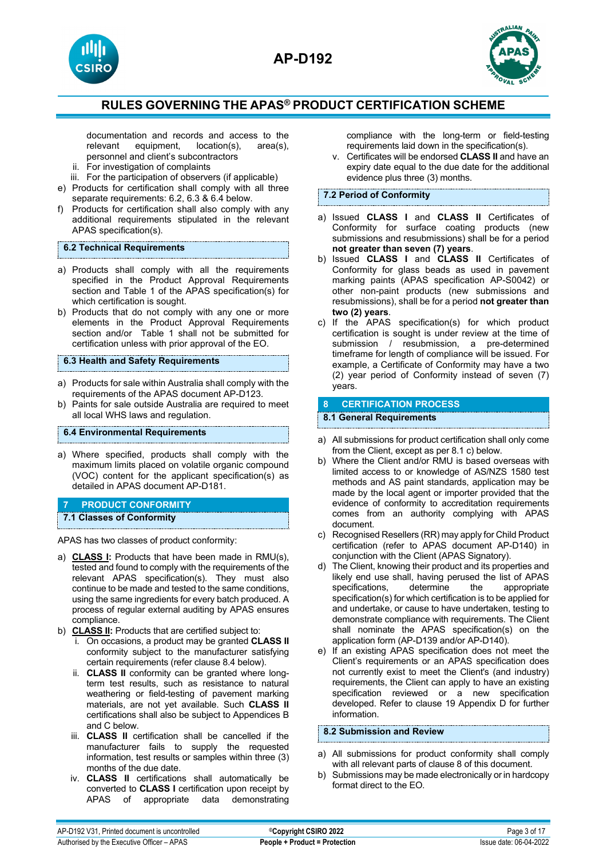





documentation and records and access to the relevant equipment, location(s), area(s), location(s), personnel and client's subcontractors

- ii. For investigation of complaints
- iii. For the participation of observers (if applicable)
- e) Products for certification shall comply with all three separate requirements: 6.2, 6.3 & 6.4 below.
- f) Products for certification shall also comply with any additional requirements stipulated in the relevant APAS specification(s).

## **6.2 Technical Requirements**

- a) Products shall comply with all the requirements specified in the Product Approval Requirements section and Table 1 of the APAS specification(s) for which certification is sought.
- b) Products that do not comply with any one or more elements in the Product Approval Requirements section and/or Table 1 shall not be submitted for certification unless with prior approval of the EO.

## **6.3 Health and Safety Requirements**

- a) Products for sale within Australia shall comply with the requirements of the APAS document AP-D123.
- b) Paints for sale outside Australia are required to meet all local WHS laws and regulation.

## **6.4 Environmental Requirements**

a) Where specified, products shall comply with the maximum limits placed on volatile organic compound (VOC) content for the applicant specification(s) as detailed in APAS document AP-D181.

## **7 PRODUCT CONFORMITY**

## **7.1 Classes of Conformity**

APAS has two classes of product conformity:

- a) **CLASS I:** Products that have been made in RMU(s), tested and found to comply with the requirements of the relevant APAS specification(s). They must also continue to be made and tested to the same conditions, using the same ingredients for every batch produced. A process of regular external auditing by APAS ensures compliance.
- b) **CLASS II:** Products that are certified subject to:
	- i. On occasions, a product may be granted **CLASS II** conformity subject to the manufacturer satisfying certain requirements (refer clause 8.4 below).
	- ii. **CLASS II** conformity can be granted where longterm test results, such as resistance to natural weathering or field-testing of pavement marking materials, are not yet available. Such **CLASS II** certifications shall also be subject to Appendices B and C below.
	- iii. **CLASS II** certification shall be cancelled if the manufacturer fails to supply the requested information, test results or samples within three (3) months of the due date.
	- iv. **CLASS II** certifications shall automatically be converted to **CLASS I** certification upon receipt by APAS of appropriate data demonstrating

compliance with the long-term or field-testing requirements laid down in the specification(s).

v. Certificates will be endorsed **CLASS II** and have an expiry date equal to the due date for the additional evidence plus three (3) months.

## **7.2 Period of Conformity**

- a) Issued **CLASS I** and **CLASS II** Certificates of Conformity for surface coating products (new submissions and resubmissions) shall be for a period **not greater than seven (7) years**.
- b) Issued **CLASS I** and **CLASS II** Certificates of Conformity for glass beads as used in pavement marking paints (APAS specification AP-S0042) or other non-paint products (new submissions and resubmissions), shall be for a period **not greater than two (2) years**.
- c) If the APAS specification(s) for which product certification is sought is under review at the time of submission / resubmission, a pre-determined timeframe for length of compliance will be issued. For example, a Certificate of Conformity may have a two (2) year period of Conformity instead of seven (7) years.

## **8 CERTIFICATION PROCESS**

### **8.1 General Requirements**

- a) All submissions for product certification shall only come from the Client, except as per 8.1 c) below.
- b) Where the Client and/or RMU is based overseas with limited access to or knowledge of AS/NZS 1580 test methods and AS paint standards, application may be made by the local agent or importer provided that the evidence of conformity to accreditation requirements comes from an authority complying with APAS document.
- c) Recognised Resellers (RR) may apply for Child Product certification (refer to APAS document AP-D140) in conjunction with the Client (APAS Signatory).
- d) The Client, knowing their product and its properties and likely end use shall, having perused the list of APAS specifications, determine the specification(s) for which certification is to be applied for and undertake, or cause to have undertaken, testing to demonstrate compliance with requirements. The Client shall nominate the APAS specification(s) on the application form (AP-D139 and/or AP-D140).
- e) If an existing APAS specification does not meet the Client's requirements or an APAS specification does not currently exist to meet the Client's (and industry) requirements, the Client can apply to have an existing specification reviewed or a new specification developed. Refer to clause 19 Appendix D for further information.

## **8.2 Submission and Review**

- a) All submissions for product conformity shall comply with all relevant parts of clause 8 of this document.
- b) Submissions may be made electronically or in hardcopy format direct to the EO.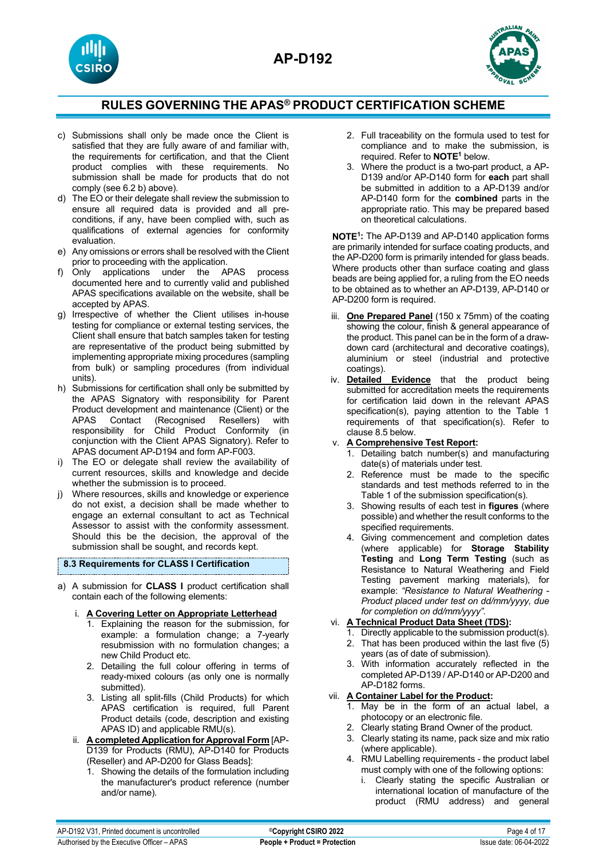



- c) Submissions shall only be made once the Client is satisfied that they are fully aware of and familiar with, the requirements for certification, and that the Client product complies with these requirements. No submission shall be made for products that do not comply (see 6.2 b) above).
- d) The EO or their delegate shall review the submission to ensure all required data is provided and all preconditions, if any, have been complied with, such as qualifications of external agencies for conformity evaluation.
- e) Any omissions or errors shall be resolved with the Client prior to proceeding with the application.
- f) Only applications under the APAS process documented here and to currently valid and published APAS specifications available on the website, shall be accepted by APAS.
- g) Irrespective of whether the Client utilises in-house testing for compliance or external testing services, the Client shall ensure that batch samples taken for testing are representative of the product being submitted by implementing appropriate mixing procedures (sampling from bulk) or sampling procedures (from individual units).
- h) Submissions for certification shall only be submitted by the APAS Signatory with responsibility for Parent Product development and maintenance (Client) or the Contact (Recognised Resellers) responsibility for Child Product Conformity (in conjunction with the Client APAS Signatory). Refer to APAS document AP-D194 and form AP-F003.
- i) The EO or delegate shall review the availability of current resources, skills and knowledge and decide whether the submission is to proceed.
- j) Where resources, skills and knowledge or experience do not exist, a decision shall be made whether to engage an external consultant to act as Technical Assessor to assist with the conformity assessment. Should this be the decision, the approval of the submission shall be sought, and records kept.

#### **8.3 Requirements for CLASS I Certification**

a) A submission for **CLASS I** product certification shall contain each of the following elements:

#### i. **A Covering Letter on Appropriate Letterhead**

- 1. Explaining the reason for the submission, for example: a formulation change; a 7-yearly resubmission with no formulation changes; a new Child Product etc.
- 2. Detailing the full colour offering in terms of ready-mixed colours (as only one is normally submitted).
- 3. Listing all split-fills (Child Products) for which APAS certification is required, full Parent Product details (code, description and existing APAS ID) and applicable RMU(s).
- ii. **A completed Application for Approval Form** [AP-D139 for Products (RMU), AP-D140 for Products (Reseller) and AP-D200 for Glass Beads]:
	- 1. Showing the details of the formulation including the manufacturer's product reference (number and/or name).
- 2. Full traceability on the formula used to test for compliance and to make the submission, is required. Refer to **NOTE1** below.
- 3. Where the product is a two-part product, a AP-D139 and/or AP-D140 form for **each** part shall be submitted in addition to a AP-D139 and/or AP-D140 form for the **combined** parts in the appropriate ratio. This may be prepared based on theoretical calculations.

**NOTE1:** The AP-D139 and AP-D140 application forms are primarily intended for surface coating products, and the AP-D200 form is primarily intended for glass beads. Where products other than surface coating and glass beads are being applied for, a ruling from the EO needs to be obtained as to whether an AP-D139, AP-D140 or AP-D200 form is required.

- iii. **One Prepared Panel** (150 x 75mm) of the coating showing the colour, finish & general appearance of the product. This panel can be in the form of a drawdown card (architectural and decorative coatings), aluminium or steel (industrial and protective coatings).
- iv. **Detailed Evidence** that the product being submitted for accreditation meets the requirements for certification laid down in the relevant APAS specification(s), paying attention to the Table 1 requirements of that specification(s). Refer to clause 8.5 below.

## v. **A Comprehensive Test Report:**

- 1. Detailing batch number(s) and manufacturing date(s) of materials under test.
- 2. Reference must be made to the specific standards and test methods referred to in the Table 1 of the submission specification(s).
- 3. Showing results of each test in **figures** (where possible) and whether the result conforms to the specified requirements.
- 4. Giving commencement and completion dates (where applicable) for **Storage Stability Testing** and **Long Term Testing** (such as Resistance to Natural Weathering and Field Testing pavement marking materials), for example: *"Resistance to Natural Weathering - Product placed under test on dd/mm/yyyy, due for completion on dd/mm/yyyy".*

## vi. **A Technical Product Data Sheet (TDS):**

- 1. Directly applicable to the submission product(s). 2. That has been produced within the last five (5) years (as of date of submission).
- 3. With information accurately reflected in the completed AP-D139 / AP-D140 or AP-D200 and AP-D182 forms.

## vii. **A Container Label for the Product:**

- 1. May be in the form of an actual label, a photocopy or an electronic file.
- 2. Clearly stating Brand Owner of the product.
- 3. Clearly stating its name, pack size and mix ratio (where applicable).
- 4. RMU Labelling requirements the product label must comply with one of the following options:
	- i. Clearly stating the specific Australian or international location of manufacture of the product (RMU address) and general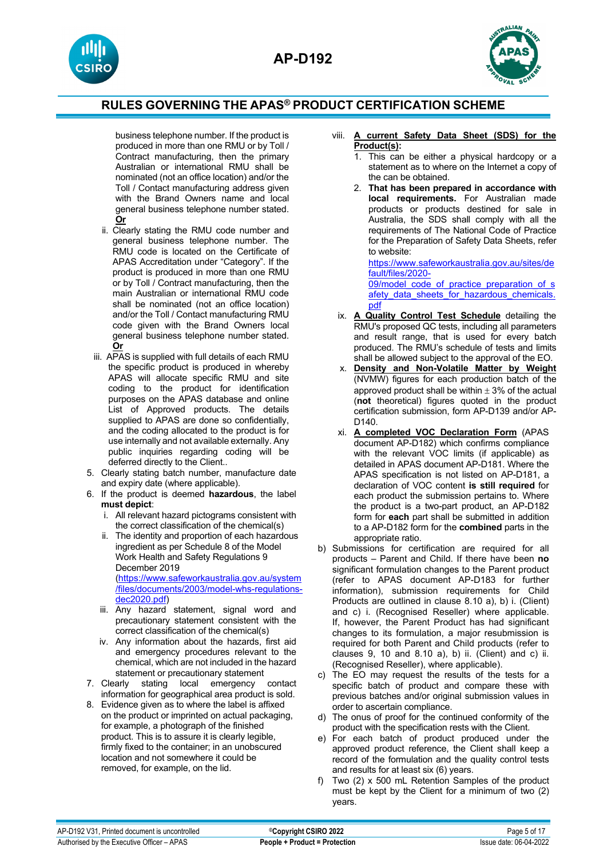



business telephone number. If the product is produced in more than one RMU or by Toll / Contract manufacturing, then the primary Australian or international RMU shall be nominated (not an office location) and/or the Toll / Contact manufacturing address given with the Brand Owners name and local general business telephone number stated. **Or**

- ii. Clearly stating the RMU code number and general business telephone number. The RMU code is located on the Certificate of APAS Accreditation under "Category". If the product is produced in more than one RMU or by Toll / Contract manufacturing, then the main Australian or international RMU code shall be nominated (not an office location) and/or the Toll / Contact manufacturing RMU code given with the Brand Owners local general business telephone number stated. **Or**
- iii. APAS is supplied with full details of each RMU the specific product is produced in whereby APAS will allocate specific RMU and site coding to the product for identification purposes on the APAS database and online List of Approved products. The details supplied to APAS are done so confidentially, and the coding allocated to the product is for use internally and not available externally. Any public inquiries regarding coding will be deferred directly to the Client..
- 5. Clearly stating batch number, manufacture date and expiry date (where applicable).
- 6. If the product is deemed **hazardous**, the label **must depict**:
	- i. All relevant hazard pictograms consistent with the correct classification of the chemical(s)
	- ii. The identity and proportion of each hazardous ingredient as per Schedule 8 of the Model Work Health and Safety Regulations 9 December 2019 [\(https://www.safeworkaustralia.gov.au/system](https://www.safeworkaustralia.gov.au/system/files/documents/2003/model-whs-regulations-dec2020.pdf) [/files/documents/2003/model-whs-regulations](https://www.safeworkaustralia.gov.au/system/files/documents/2003/model-whs-regulations-dec2020.pdf)[dec2020.pdf\)](https://www.safeworkaustralia.gov.au/system/files/documents/2003/model-whs-regulations-dec2020.pdf)
	- iii. Any hazard statement, signal word and precautionary statement consistent with the correct classification of the chemical(s)
- iv. Any information about the hazards, first aid and emergency procedures relevant to the chemical, which are not included in the hazard statement or precautionary statement<br>7. Clearly stating local emergency
- stating local emergency contact information for geographical area product is sold.
- 8. Evidence given as to where the label is affixed on the product or imprinted on actual packaging, for example, a photograph of the finished product. This is to assure it is clearly legible, firmly fixed to the container; in an unobscured location and not somewhere it could be removed, for example, on the lid.
- viii. **A current Safety Data Sheet (SDS) for the Product(s):** 
	- 1. This can be either a physical hardcopy or a statement as to where on the Internet a copy of the can be obtained.
	- 2. **That has been prepared in accordance with local requirements.** For Australian made products or products destined for sale in Australia, the SDS shall comply with all the requirements of The National Code of Practice for the Preparation of Safety Data Sheets, refer to website:

[https://www.safeworkaustralia.gov.au/sites/de](https://www.safeworkaustralia.gov.au/sites/default/files/2020-09/model_code_of_practice_preparation_of_safety_data_sheets_for_hazardous_chemicals.pdf) [fault/files/2020-](https://www.safeworkaustralia.gov.au/sites/default/files/2020-09/model_code_of_practice_preparation_of_safety_data_sheets_for_hazardous_chemicals.pdf)

09/model code of practice preparation of s afety data sheets for hazardous chemicals. [pdf](https://www.safeworkaustralia.gov.au/sites/default/files/2020-09/model_code_of_practice_preparation_of_safety_data_sheets_for_hazardous_chemicals.pdf)

- ix. **A Quality Control Test Schedule** detailing the RMU's proposed QC tests, including all parameters and result range, that is used for every batch produced. The RMU's schedule of tests and limits shall be allowed subject to the approval of the EO.
- x. **Density and Non-Volatile Matter by Weight** (NVMW) figures for each production batch of the approved product shall be within  $\pm$  3% of the actual (**not** theoretical) figures quoted in the product certification submission, form AP-D139 and/or AP- $D140$
- xi. **A completed VOC Declaration Form** (APAS document AP-D182) which confirms compliance with the relevant VOC limits (if applicable) as detailed in APAS document AP-D181. Where the APAS specification is not listed on AP-D181, a declaration of VOC content **is still required** for each product the submission pertains to. Where the product is a two-part product, an AP-D182 form for **each** part shall be submitted in addition to a AP-D182 form for the **combined** parts in the appropriate ratio.
- b) Submissions for certification are required for all products – Parent and Child. If there have been **no**  significant formulation changes to the Parent product (refer to APAS document AP-D183 for further information), submission requirements for Child Products are outlined in clause 8.10 a), b) i. (Client) and c) i. (Recognised Reseller) where applicable. If, however, the Parent Product has had significant changes to its formulation, a major resubmission is required for both Parent and Child products (refer to clauses  $9$ ,  $10$  and  $8.10$  a), b) ii. (Client) and c) ii. (Recognised Reseller), where applicable).
- c) The EO may request the results of the tests for a specific batch of product and compare these with previous batches and/or original submission values in order to ascertain compliance.
- d) The onus of proof for the continued conformity of the product with the specification rests with the Client.
- e) For each batch of product produced under the approved product reference, the Client shall keep a record of the formulation and the quality control tests and results for at least six (6) years.
- f) Two (2) x 500 mL Retention Samples of the product must be kept by the Client for a minimum of two (2) years.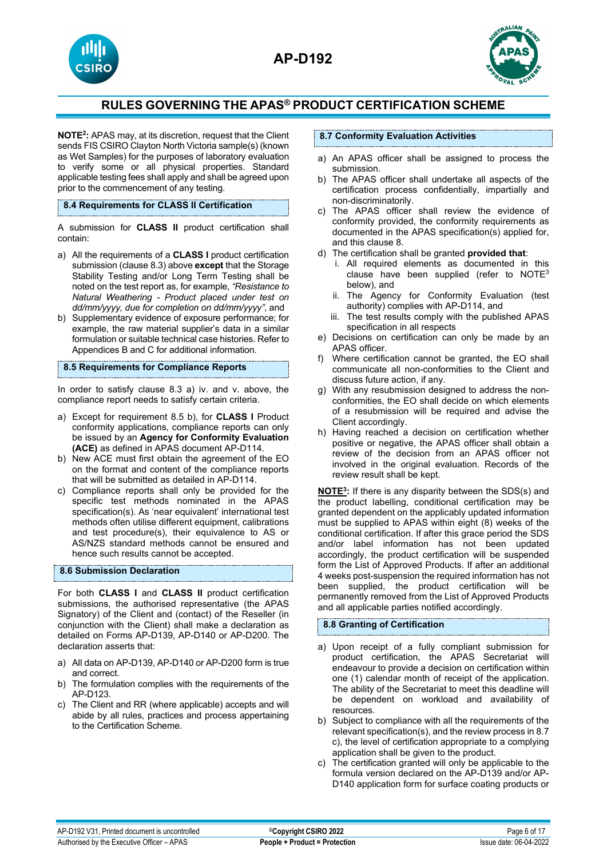



**NOTE2:** APAS may, at its discretion, request that the Client sends FIS CSIRO Clayton North Victoria sample(s) (known as Wet Samples) for the purposes of laboratory evaluation to verify some or all physical properties. Standard applicable testing fees shall apply and shall be agreed upon prior to the commencement of any testing.

**8.4 Requirements for CLASS II Certification**

A submission for **CLASS II** product certification shall contain:

- a) All the requirements of a **CLASS I** product certification submission (clause 8.3) above **except** that the Storage Stability Testing and/or Long Term Testing shall be noted on the test report as, for example, *"Resistance to Natural Weathering - Product placed under test on dd/mm/yyyy, due for completion on dd/mm/yyyy"*, and
- b) Supplementary evidence of exposure performance; for example, the raw material supplier's data in a similar formulation or suitable technical case histories. Refer to Appendices B and C for additional information.

**8.5 Requirements for Compliance Reports**

In order to satisfy clause 8.3 a) iv. and v. above, the compliance report needs to satisfy certain criteria.

- a) Except for requirement 8.5 b), for **CLASS I** Product conformity applications, compliance reports can only be issued by an **Agency for Conformity Evaluation (ACE)** as defined in APAS document AP-D114.
- b) New ACE must first obtain the agreement of the EO on the format and content of the compliance reports that will be submitted as detailed in AP-D114.
- c) Compliance reports shall only be provided for the specific test methods nominated in the APAS specification(s). As 'near equivalent' international test methods often utilise different equipment, calibrations and test procedure(s), their equivalence to AS or AS/NZS standard methods cannot be ensured and hence such results cannot be accepted.

#### **8.6 Submission Declaration**

For both **CLASS I** and **CLASS II** product certification submissions, the authorised representative (the APAS Signatory) of the Client and (contact) of the Reseller (in conjunction with the Client) shall make a declaration as detailed on Forms AP-D139, AP-D140 or AP-D200. The declaration asserts that:

- a) All data on AP-D139, AP-D140 or AP-D200 form is true and correct.
- b) The formulation complies with the requirements of the AP-D123.
- c) The Client and RR (where applicable) accepts and will abide by all rules, practices and process appertaining to the Certification Scheme.

### **8.7 Conformity Evaluation Activities**

- a) An APAS officer shall be assigned to process the submission.
- b) The APAS officer shall undertake all aspects of the certification process confidentially, impartially and non-discriminatorily.
- c) The APAS officer shall review the evidence of conformity provided, the conformity requirements as documented in the APAS specification(s) applied for, and this clause 8.
- d) The certification shall be granted **provided that**:
	- i. All required elements as documented in this clause have been supplied (refer to  $NOTE<sup>3</sup>$ below), and
	- ii. The Agency for Conformity Evaluation (test authority) complies with AP-D114, and
	- iii. The test results comply with the published APAS specification in all respects
- e) Decisions on certification can only be made by an APAS officer.
- f) Where certification cannot be granted, the EO shall communicate all non-conformities to the Client and discuss future action, if any.
- g) With any resubmission designed to address the nonconformities, the EO shall decide on which elements of a resubmission will be required and advise the Client accordingly.
- h) Having reached a decision on certification whether positive or negative, the APAS officer shall obtain a review of the decision from an APAS officer not involved in the original evaluation. Records of the review result shall be kept.

**NOTE3:** If there is any disparity between the SDS(s) and the product labelling, conditional certification may be granted dependent on the applicably updated information must be supplied to APAS within eight (8) weeks of the conditional certification. If after this grace period the SDS and/or label information has not been updated accordingly, the product certification will be suspended form the List of Approved Products. If after an additional 4 weeks post-suspension the required information has not been supplied, the product certification will be permanently removed from the List of Approved Products and all applicable parties notified accordingly.

## **8.8 Granting of Certification**

- a) Upon receipt of a fully compliant submission for product certification, the APAS Secretariat will endeavour to provide a decision on certification within one (1) calendar month of receipt of the application. The ability of the Secretariat to meet this deadline will be dependent on workload and availability of resources.
- b) Subject to compliance with all the requirements of the relevant specification(s), and the review process in 8.7 c), the level of certification appropriate to a complying application shall be given to the product.
- c) The certification granted will only be applicable to the formula version declared on the AP-D139 and/or AP-D140 application form for surface coating products or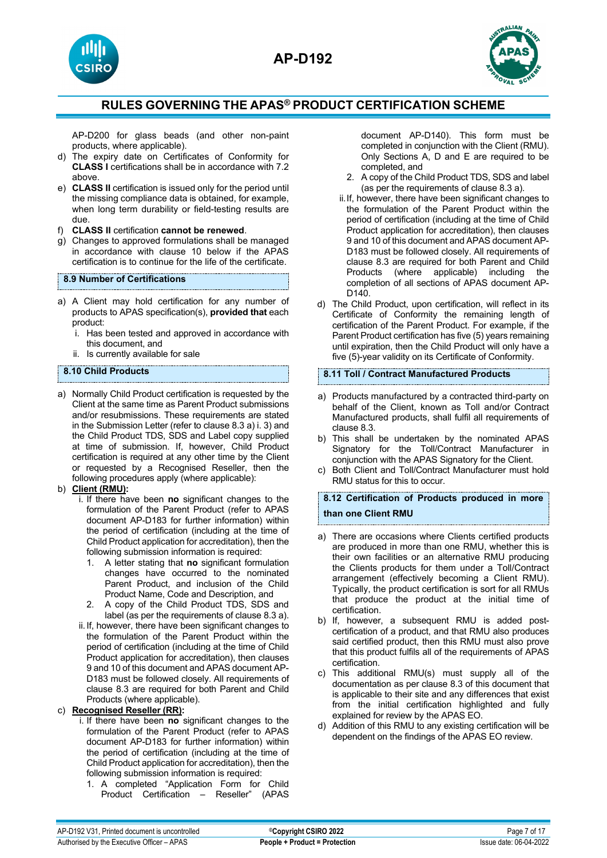





AP-D200 for glass beads (and other non-paint products, where applicable).

- d) The expiry date on Certificates of Conformity for **CLASS I** certifications shall be in accordance with 7.2 above.
- e) **CLASS II** certification is issued only for the period until the missing compliance data is obtained, for example, when long term durability or field-testing results are due.
- f) **CLASS II** certification **cannot be renewed**.
- g) Changes to approved formulations shall be managed in accordance with clause 10 below if the APAS certification is to continue for the life of the certificate.

## **8.9 Number of Certifications**

- a) A Client may hold certification for any number of products to APAS specification(s), **provided that** each product:
	- i. Has been tested and approved in accordance with this document, and
	- Is currently available for sale

## **8.10 Child Products**

a) Normally Child Product certification is requested by the Client at the same time as Parent Product submissions and/or resubmissions. These requirements are stated in the Submission Letter (refer to clause 8.3 a) i. 3) and the Child Product TDS, SDS and Label copy supplied at time of submission. If, however, Child Product certification is required at any other time by the Client or requested by a Recognised Reseller, then the following procedures apply (where applicable):

## b) **Client (RMU):**

- i. If there have been **no** significant changes to the formulation of the Parent Product (refer to APAS document AP-D183 for further information) within the period of certification (including at the time of Child Product application for accreditation), then the following submission information is required:
	- 1. A letter stating that **no** significant formulation changes have occurred to the nominated Parent Product, and inclusion of the Child Product Name, Code and Description, and
	- 2. A copy of the Child Product TDS, SDS and label (as per the requirements of clause 8.3 a).
- ii.If, however, there have been significant changes to the formulation of the Parent Product within the period of certification (including at the time of Child Product application for accreditation), then clauses 9 and 10 of this document and APAS document AP-D183 must be followed closely. All requirements of clause 8.3 are required for both Parent and Child Products (where applicable).

## c) **Recognised Reseller (RR):**

- i. If there have been **no** significant changes to the formulation of the Parent Product (refer to APAS document AP-D183 for further information) within the period of certification (including at the time of Child Product application for accreditation), then the following submission information is required:
	- 1. A completed "Application Form for Child Product Certification – Reseller" (APAS

document AP-D140). This form must be completed in conjunction with the Client (RMU). Only Sections A, D and E are required to be completed, and

- 2. A copy of the Child Product TDS, SDS and label (as per the requirements of clause 8.3 a).
- ii.If, however, there have been significant changes to the formulation of the Parent Product within the period of certification (including at the time of Child Product application for accreditation), then clauses 9 and 10 of this document and APAS document AP-D183 must be followed closely. All requirements of clause 8.3 are required for both Parent and Child Products (where applicable) including the completion of all sections of APAS document AP-D140.
- d) The Child Product, upon certification, will reflect in its Certificate of Conformity the remaining length of certification of the Parent Product. For example, if the Parent Product certification has five (5) years remaining until expiration, then the Child Product will only have a five (5)-year validity on its Certificate of Conformity.

## **8.11 Toll / Contract Manufactured Products**

- a) Products manufactured by a contracted third-party on behalf of the Client, known as Toll and/or Contract Manufactured products, shall fulfil all requirements of clause 8.3.
- b) This shall be undertaken by the nominated APAS Signatory for the Toll/Contract Manufacturer in conjunction with the APAS Signatory for the Client.
- c) Both Client and Toll/Contract Manufacturer must hold RMU status for this to occur.

# **8.12 Certification of Products produced in more than one Client RMU**

- a) There are occasions where Clients certified products are produced in more than one RMU, whether this is their own facilities or an alternative RMU producing the Clients products for them under a Toll/Contract arrangement (effectively becoming a Client RMU). Typically, the product certification is sort for all RMUs that produce the product at the initial time of certification.
- b) If, however, a subsequent RMU is added postcertification of a product, and that RMU also produces said certified product, then this RMU must also prove that this product fulfils all of the requirements of APAS certification.
- c) This additional RMU(s) must supply all of the documentation as per clause 8.3 of this document that is applicable to their site and any differences that exist from the initial certification highlighted and fully explained for review by the APAS EO.
- Addition of this RMU to any existing certification will be dependent on the findings of the APAS EO review.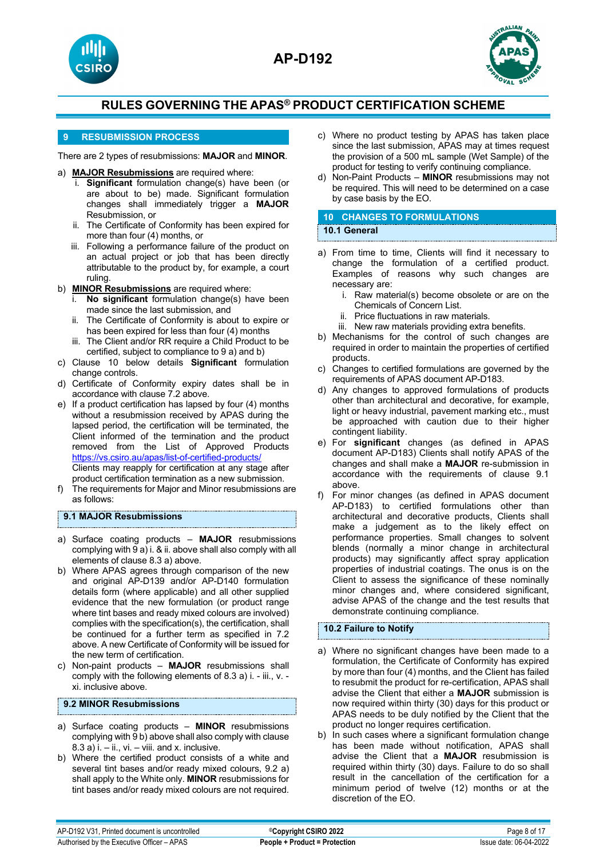





## **9 RESUBMISSION PROCESS**

There are 2 types of resubmissions: **MAJOR** and **MINOR**.

- a) **MAJOR Resubmissions** are required where:
	- **Significant** formulation change(s) have been (or are about to be) made. Significant formulation changes shall immediately trigger a **MAJOR** Resubmission, or
	- ii. The Certificate of Conformity has been expired for more than four (4) months, or
	- iii. Following a performance failure of the product on an actual project or job that has been directly attributable to the product by, for example, a court ruling.
- b) **MINOR Resubmissions** are required where:
	- i. **No significant** formulation change(s) have been made since the last submission, and
	- ii. The Certificate of Conformity is about to expire or has been expired for less than four (4) months
	- iii. The Client and/or RR require a Child Product to be certified, subject to compliance to 9 a) and b)
- c) Clause 10 below details **Significant** formulation change controls.
- d) Certificate of Conformity expiry dates shall be in accordance with clause 7.2 above.
- e) If a product certification has lapsed by four (4) months without a resubmission received by APAS during the lapsed period, the certification will be terminated, the Client informed of the termination and the product removed from the List of Approved Products <https://vs.csiro.au/apas/list-of-certified-products/> Clients may reapply for certification at any stage after product certification termination as a new submission.
- f) The requirements for Major and Minor resubmissions are as follows:

## **9.1 MAJOR Resubmissions**

- a) Surface coating products **MAJOR** resubmissions complying with 9 a) i. & ii. above shall also comply with all elements of clause 8.3 a) above.
- b) Where APAS agrees through comparison of the new and original AP-D139 and/or AP-D140 formulation details form (where applicable) and all other supplied evidence that the new formulation (or product range where tint bases and ready mixed colours are involved) complies with the specification(s), the certification, shall be continued for a further term as specified in 7.2 above. A new Certificate of Conformity will be issued for the new term of certification.
- c) Non-paint products **MAJOR** resubmissions shall comply with the following elements of 8.3 a) i. - iii., v. xi. inclusive above.

## **9.2 MINOR Resubmissions**

- a) Surface coating products **MINOR** resubmissions complying with 9 b) above shall also comply with clause  $8.3$  a) i. – ii., vi. – viii. and x. inclusive.
- b) Where the certified product consists of a white and several tint bases and/or ready mixed colours, 9.2 a) shall apply to the White only. **MINOR** resubmissions for tint bases and/or ready mixed colours are not required.
- c) Where no product testing by APAS has taken place since the last submission, APAS may at times request the provision of a 500 mL sample (Wet Sample) of the product for testing to verify continuing compliance.
- d) Non-Paint Products **MINOR** resubmissions may not be required. This will need to be determined on a case by case basis by the EO.

#### **10 CHANGES TO FORMULATIONS 10.1 General**

- a) From time to time, Clients will find it necessary to change the formulation of a certified product. Examples of reasons why such changes are necessary are:
	- i. Raw material(s) become obsolete or are on the Chemicals of Concern List.
	- ii. Price fluctuations in raw materials.
	- iii. New raw materials providing extra benefits.
- b) Mechanisms for the control of such changes are required in order to maintain the properties of certified products.
- c) Changes to certified formulations are governed by the requirements of APAS document AP-D183.
- d) Any changes to approved formulations of products other than architectural and decorative, for example, light or heavy industrial, pavement marking etc., must be approached with caution due to their higher contingent liability.
- e) For **significant** changes (as defined in APAS document AP-D183) Clients shall notify APAS of the changes and shall make a **MAJOR** re-submission in accordance with the requirements of clause 9.1 above.
- f) For minor changes (as defined in APAS document AP-D183) to certified formulations other than architectural and decorative products, Clients shall make a judgement as to the likely effect on performance properties. Small changes to solvent blends (normally a minor change in architectural products) may significantly affect spray application properties of industrial coatings. The onus is on the Client to assess the significance of these nominally minor changes and, where considered significant, advise APAS of the change and the test results that demonstrate continuing compliance.

## **10.2 Failure to Notify**

- a) Where no significant changes have been made to a formulation, the Certificate of Conformity has expired by more than four (4) months, and the Client has failed to resubmit the product for re-certification, APAS shall advise the Client that either a **MAJOR** submission is now required within thirty (30) days for this product or APAS needs to be duly notified by the Client that the product no longer requires certification.
- b) In such cases where a significant formulation change has been made without notification, APAS shall advise the Client that a **MAJOR** resubmission is required within thirty (30) days. Failure to do so shall result in the cancellation of the certification for a minimum period of twelve (12) months or at the discretion of the EO.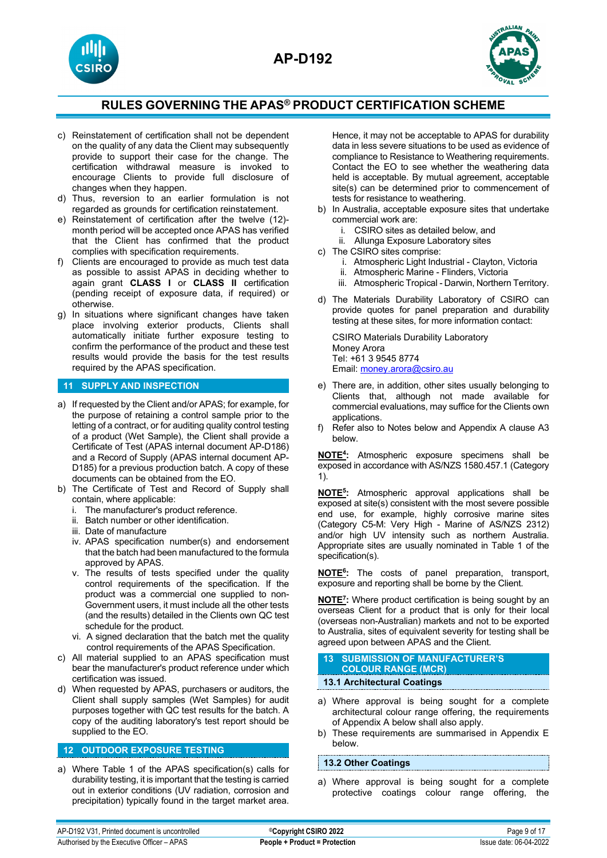



- c) Reinstatement of certification shall not be dependent on the quality of any data the Client may subsequently provide to support their case for the change. The certification withdrawal measure is invoked to encourage Clients to provide full disclosure of changes when they happen.
- d) Thus, reversion to an earlier formulation is not regarded as grounds for certification reinstatement.
- e) Reinstatement of certification after the twelve (12) month period will be accepted once APAS has verified that the Client has confirmed that the product complies with specification requirements.
- f) Clients are encouraged to provide as much test data as possible to assist APAS in deciding whether to again grant **CLASS I** or **CLASS II** certification (pending receipt of exposure data, if required) or otherwise.
- g) In situations where significant changes have taken place involving exterior products, Clients shall automatically initiate further exposure testing to confirm the performance of the product and these test results would provide the basis for the test results required by the APAS specification.

#### **11 SUPPLY AND INSPECTION**

- a) If requested by the Client and/or APAS; for example, for the purpose of retaining a control sample prior to the letting of a contract, or for auditing quality control testing of a product (Wet Sample), the Client shall provide a Certificate of Test (APAS internal document AP-D186) and a Record of Supply (APAS internal document AP-D185) for a previous production batch. A copy of these documents can be obtained from the EO.
- b) The Certificate of Test and Record of Supply shall contain, where applicable:
	- i. The manufacturer's product reference.
	- ii. Batch number or other identification.
	- iii. Date of manufacture
	- iv. APAS specification number(s) and endorsement that the batch had been manufactured to the formula approved by APAS.
	- v. The results of tests specified under the quality control requirements of the specification. If the product was a commercial one supplied to non-Government users, it must include all the other tests (and the results) detailed in the Clients own QC test schedule for the product.
	- vi. A signed declaration that the batch met the quality control requirements of the APAS Specification.
- c) All material supplied to an APAS specification must bear the manufacturer's product reference under which certification was issued.
- d) When requested by APAS, purchasers or auditors, the Client shall supply samples (Wet Samples) for audit purposes together with QC test results for the batch. A copy of the auditing laboratory's test report should be supplied to the EO.

#### **12 OUTDOOR EXPOSURE TESTING**

a) Where Table 1 of the APAS specification(s) calls for durability testing, it is important that the testing is carried out in exterior conditions (UV radiation, corrosion and precipitation) typically found in the target market area. Hence, it may not be acceptable to APAS for durability data in less severe situations to be used as evidence of compliance to Resistance to Weathering requirements. Contact the EO to see whether the weathering data held is acceptable. By mutual agreement, acceptable site(s) can be determined prior to commencement of tests for resistance to weathering.

- b) In Australia, acceptable exposure sites that undertake commercial work are:
	- i. CSIRO sites as detailed below, and
	- ii. Allunga Exposure Laboratory sites
- c) The CSIRO sites comprise:
	- i. Atmospheric Light Industrial Clayton, Victoria
	- ii. Atmospheric Marine Flinders, Victoria
	- iii. Atmospheric Tropical Darwin, Northern Territory.
- d) The Materials Durability Laboratory of CSIRO can provide quotes for panel preparation and durability testing at these sites, for more information contact:

CSIRO Materials Durability Laboratory Money Arora Tel: +61 3 9545 8774 Email[: money.arora@csiro.au](mailto:money.arora@csiro.au) 

- e) There are, in addition, other sites usually belonging to Clients that, although not made available for commercial evaluations, may suffice for the Clients own applications.
- f) Refer also to Notes below and Appendix A clause A3 below.

**NOTE4:** Atmospheric exposure specimens shall be exposed in accordance with AS/NZS 1580.457.1 (Category 1).

**NOTE5:** Atmospheric approval applications shall be exposed at site(s) consistent with the most severe possible end use, for example, highly corrosive marine sites (Category C5-M: Very High - Marine of AS/NZS 2312) and/or high UV intensity such as northern Australia. Appropriate sites are usually nominated in Table 1 of the specification(s).

**NOTE6:** The costs of panel preparation, transport, exposure and reporting shall be borne by the Client.

**NOTE7:** Where product certification is being sought by an overseas Client for a product that is only for their local (overseas non-Australian) markets and not to be exported to Australia, sites of equivalent severity for testing shall be agreed upon between APAS and the Client.

# **13 SUBMISSION OF MANUFACTURER'S COLOUR RANGE (MCR)**

## **13.1 Architectural Coatings**

- a) Where approval is being sought for a complete architectural colour range offering, the requirements of Appendix A below shall also apply.
- b) These requirements are summarised in Appendix E below.

#### **13.2 Other Coatings**

a) Where approval is being sought for a complete protective coatings colour range offering, the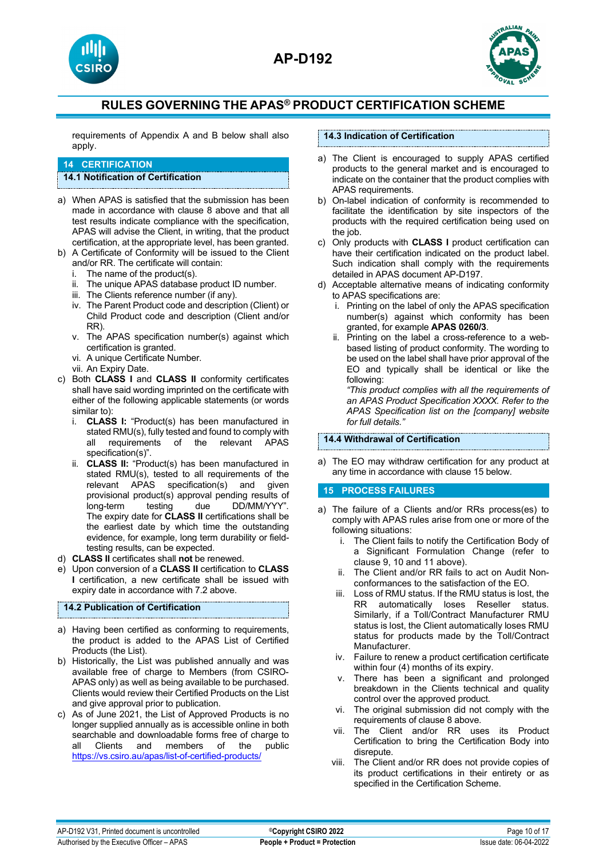





requirements of Appendix A and B below shall also apply.

## **14 CERTIFICATION**

## **14.1 Notification of Certification**

- a) When APAS is satisfied that the submission has been made in accordance with clause 8 above and that all test results indicate compliance with the specification, APAS will advise the Client, in writing, that the product certification, at the appropriate level, has been granted.
- b) A Certificate of Conformity will be issued to the Client and/or RR. The certificate will contain:
	- The name of the product(s).
	- ii. The unique APAS database product ID number.
	- iii. The Clients reference number (if any).
	- iv. The Parent Product code and description (Client) or Child Product code and description (Client and/or RR).
	- v. The APAS specification number(s) against which certification is granted.
	- vi. A unique Certificate Number.
	- vii. An Expiry Date.
- c) Both **CLASS I** and **CLASS II** conformity certificates shall have said wording imprinted on the certificate with either of the following applicable statements (or words similar to):
	- i. **CLASS I:** "Product(s) has been manufactured in stated RMU(s), fully tested and found to comply with<br>all requirements of the relevant APAS of the relevant APAS specification(s)".
	- ii. **CLASS II:** "Product(s) has been manufactured in stated RMU(s), tested to all requirements of the relevant APAS specification(s) and given provisional product(s) approval pending results of<br>long-term testing due DD/MM/YYY". long-term testing due DD/MM/YYY". The expiry date for **CLASS II** certifications shall be the earliest date by which time the outstanding evidence, for example, long term durability or fieldtesting results, can be expected.
- d) **CLASS II** certificates shall **not** be renewed.
- e) Upon conversion of a **CLASS II** certification to **CLASS I** certification, a new certificate shall be issued with expiry date in accordance with 7.2 above.

## **14.2 Publication of Certification**

- a) Having been certified as conforming to requirements, the product is added to the APAS List of Certified Products (the List).
- b) Historically, the List was published annually and was available free of charge to Members (from CSIRO-APAS only) as well as being available to be purchased. Clients would review their Certified Products on the List and give approval prior to publication.
- c) As of June 2021, the List of Approved Products is no longer supplied annually as is accessible online in both searchable and downloadable forms free of charge to<br>all Clients and members of the public Clients and members of the <https://vs.csiro.au/apas/list-of-certified-products/>

## **14.3 Indication of Certification**

- a) The Client is encouraged to supply APAS certified products to the general market and is encouraged to indicate on the container that the product complies with APAS requirements.
- b) On-label indication of conformity is recommended to facilitate the identification by site inspectors of the products with the required certification being used on the job.
- c) Only products with **CLASS I** product certification can have their certification indicated on the product label. Such indication shall comply with the requirements detailed in APAS document AP-D197.
- d) Acceptable alternative means of indicating conformity to APAS specifications are:
	- i. Printing on the label of only the APAS specification number(s) against which conformity has been granted, for example **APAS 0260/3**.
	- ii. Printing on the label a cross-reference to a webbased listing of product conformity. The wording to be used on the label shall have prior approval of the EO and typically shall be identical or like the following:

*"This product complies with all the requirements of an APAS Product Specification XXXX. Refer to the APAS Specification list on the [company] website for full details."* 

#### **14.4 Withdrawal of Certification**

a) The EO may withdraw certification for any product at any time in accordance with clause 15 below.

## **15 PROCESS FAILURES**

- a) The failure of a Clients and/or RRs process(es) to comply with APAS rules arise from one or more of the following situations:
	- i. The Client fails to notify the Certification Body of a Significant Formulation Change (refer to clause 9, 10 and 11 above).
	- ii. The Client and/or RR fails to act on Audit Nonconformances to the satisfaction of the EO.
	- iii. Loss of RMU status. If the RMU status is lost, the RR automatically loses Reseller status. Similarly, if a Toll/Contract Manufacturer RMU status is lost, the Client automatically loses RMU status for products made by the Toll/Contract Manufacturer.
	- iv. Failure to renew a product certification certificate within four (4) months of its expiry.
	- v. There has been a significant and prolonged breakdown in the Clients technical and quality control over the approved product.
	- vi. The original submission did not comply with the requirements of clause 8 above.
	- vii. The Client and/or RR uses its Product Certification to bring the Certification Body into disrepute.
	- viii. The Client and/or RR does not provide copies of its product certifications in their entirety or as specified in the Certification Scheme.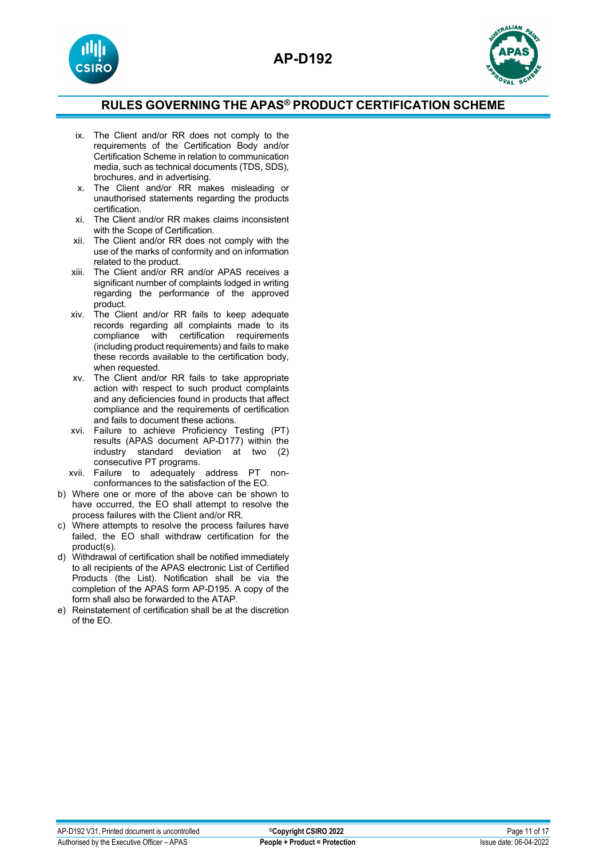



- ix. The Client and/or RR does not comply to the requirements of the Certification Body and/or Certification Scheme in relation to communication media, such as technical documents (TDS, SDS), brochures, and in advertising.
- x. The Client and/or RR makes misleading or unauthorised statements regarding the products certification.
- xi. The Client and/or RR makes claims inconsistent with the Scope of Certification.
- xii. The Client and/or RR does not comply with the use of the marks of conformity and on information related to the product.
- xiii. The Client and/or RR and/or APAS receives a significant number of complaints lodged in writing regarding the performance of the approved product.
- xiv. The Client and/or RR fails to keep adequate records regarding all complaints made to its compliance with certification requirements (including product requirements) and fails to make these records available to the certification body, when requested.
- xv. The Client and/or RR fails to take appropriate action with respect to such product complaints and any deficiencies found in products that affect compliance and the requirements of certification and fails to document these actions.
- xvi. Failure to achieve Proficiency Testing (PT) results (APAS document AP-D177) within the industry standard deviation at two (2) consecutive PT programs.
- xvii. Failure to adequately address PT nonconformances to the satisfaction of the EO.
- b) Where one or more of the above can be shown to have occurred, the EO shall attempt to resolve the process failures with the Client and/or RR.
- c) Where attempts to resolve the process failures have failed, the EO shall withdraw certification for the product(s).
- d) Withdrawal of certification shall be notified immediately to all recipients of the APAS electronic List of Certified Products (the List). Notification shall be via the completion of the APAS form AP-D195. A copy of the form shall also be forwarded to the ATAP.
- e) Reinstatement of certification shall be at the discretion of the EO.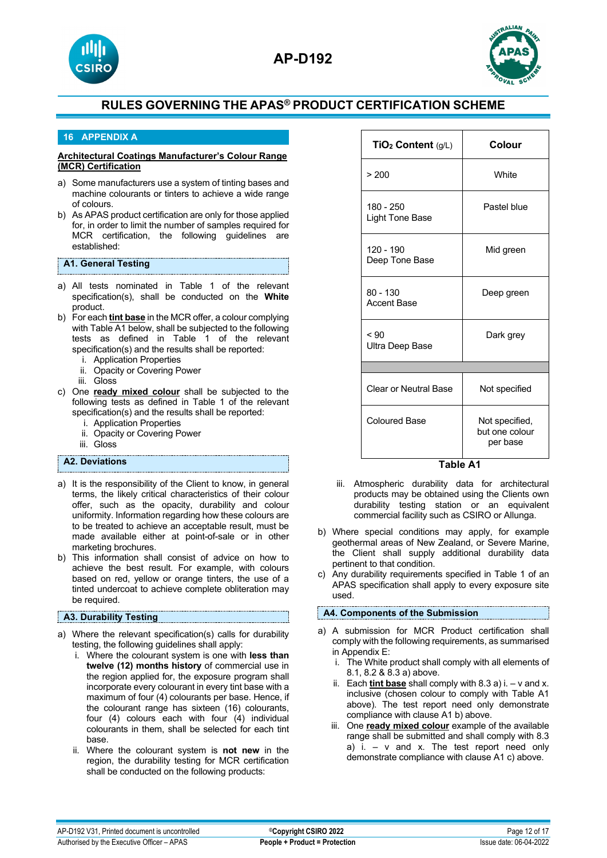



## **16 APPENDIX A**

#### **Architectural Coatings Manufacturer's Colour Range (MCR) Certification**

- a) Some manufacturers use a system of tinting bases and machine colourants or tinters to achieve a wide range of colours.
- b) As APAS product certification are only for those applied for, in order to limit the number of samples required for MCR certification, the following guidelines are established:

## **A1. General Testing**

- a) All tests nominated in Table 1 of the relevant specification(s), shall be conducted on the **White** product.
- b) For each **tint base** in the MCR offer, a colour complying with Table A1 below, shall be subjected to the following tests as defined in Table 1 of the relevant specification(s) and the results shall be reported:
	- i. Application Properties
	- ii. Opacity or Covering Power
	- iii. Gloss
- c) One **ready mixed colour** shall be subjected to the following tests as defined in Table 1 of the relevant specification(s) and the results shall be reported:
	- i. Application Properties
	- ii. Opacity or Covering Power
	- iii. Gloss

## **A2. Deviations**

- a) It is the responsibility of the Client to know, in general terms, the likely critical characteristics of their colour offer, such as the opacity, durability and colour uniformity. Information regarding how these colours are to be treated to achieve an acceptable result, must be made available either at point-of-sale or in other marketing brochures.
- b) This information shall consist of advice on how to achieve the best result. For example, with colours based on red, yellow or orange tinters, the use of a tinted undercoat to achieve complete obliteration may be required.

#### **A3. Durability Testing**

- a) Where the relevant specification(s) calls for durability testing, the following guidelines shall apply:
	- i. Where the colourant system is one with **less than twelve (12) months history** of commercial use in the region applied for, the exposure program shall incorporate every colourant in every tint base with a maximum of four (4) colourants per base. Hence, if the colourant range has sixteen (16) colourants, four (4) colours each with four (4) individual colourants in them, shall be selected for each tint base.
	- ii. Where the colourant system is **not new** in the region, the durability testing for MCR certification shall be conducted on the following products:

| TiO <sub>2</sub> Content (g/L)   | Colour                                       |  |
|----------------------------------|----------------------------------------------|--|
| > 200                            | White                                        |  |
| 180 - 250<br>Light Tone Base     | Pastel blue                                  |  |
| 120 - 190<br>Deep Tone Base      | Mid green                                    |  |
| $80 - 130$<br><b>Accent Base</b> | Deep green                                   |  |
| ~< 90<br>Ultra Deep Base         | Dark grey                                    |  |
|                                  |                                              |  |
| Clear or Neutral Base            | Not specified                                |  |
| <b>Coloured Base</b>             | Not specified,<br>but one colour<br>per base |  |

 **Table A1**

- iii. Atmospheric durability data for architectural products may be obtained using the Clients own durability testing station or an equivalent commercial facility such as CSIRO or Allunga.
- b) Where special conditions may apply, for example geothermal areas of New Zealand, or Severe Marine, the Client shall supply additional durability data pertinent to that condition.
- c) Any durability requirements specified in Table 1 of an APAS specification shall apply to every exposure site used.

## **A4. Components of the Submission**

- a) A submission for MCR Product certification shall comply with the following requirements, as summarised in Appendix E:
	- i. The White product shall comply with all elements of 8.1, 8.2 & 8.3 a) above.
	- ii. Each **tint base** shall comply with 8.3 a) i. v and x. inclusive (chosen colour to comply with Table A1 above). The test report need only demonstrate compliance with clause A1 b) above.
	- iii. One **ready mixed colour** example of the available range shall be submitted and shall comply with 8.3 a) i.  $-$  v and x. The test report need only demonstrate compliance with clause A1 c) above.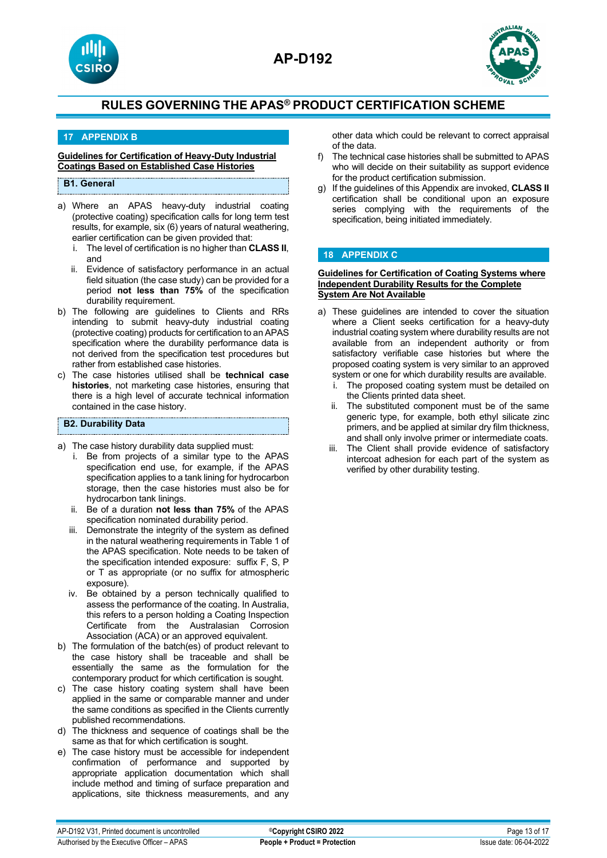



## **17 APPENDIX B**

#### **Guidelines for Certification of Heavy-Duty Industrial Coatings Based on Established Case Histories**

## **B1. General**

- a) Where an APAS heavy-duty industrial coating (protective coating) specification calls for long term test results, for example, six (6) years of natural weathering, earlier certification can be given provided that:
	- i. The level of certification is no higher than **CLASS II**, and
	- ii. Evidence of satisfactory performance in an actual field situation (the case study) can be provided for a period **not less than 75%** of the specification durability requirement.
- b) The following are guidelines to Clients and RRs intending to submit heavy-duty industrial coating (protective coating) products for certification to an APAS specification where the durability performance data is not derived from the specification test procedures but rather from established case histories.
- c) The case histories utilised shall be **technical case histories**, not marketing case histories, ensuring that there is a high level of accurate technical information contained in the case history.

## **B2. Durability Data**

- a) The case history durability data supplied must:
	- i. Be from projects of a similar type to the APAS specification end use, for example, if the APAS specification applies to a tank lining for hydrocarbon storage, then the case histories must also be for hydrocarbon tank linings.
	- ii. Be of a duration **not less than 75%** of the APAS specification nominated durability period.
	- iii. Demonstrate the integrity of the system as defined in the natural weathering requirements in Table 1 of the APAS specification. Note needs to be taken of the specification intended exposure: suffix F, S, P or T as appropriate (or no suffix for atmospheric exposure).
	- iv. Be obtained by a person technically qualified to assess the performance of the coating. In Australia, this refers to a person holding a Coating Inspection Certificate from the Australasian Corrosion Association (ACA) or an approved equivalent.
- b) The formulation of the batch(es) of product relevant to the case history shall be traceable and shall be essentially the same as the formulation for the contemporary product for which certification is sought.
- c) The case history coating system shall have been applied in the same or comparable manner and under the same conditions as specified in the Clients currently published recommendations.
- d) The thickness and sequence of coatings shall be the same as that for which certification is sought.
- e) The case history must be accessible for independent confirmation of performance and supported by appropriate application documentation which shall include method and timing of surface preparation and applications, site thickness measurements, and any

other data which could be relevant to correct appraisal of the data.

- f) The technical case histories shall be submitted to APAS who will decide on their suitability as support evidence for the product certification submission.
- g) If the guidelines of this Appendix are invoked, **CLASS II**  certification shall be conditional upon an exposure series complying with the requirements of the specification, being initiated immediately.

## **18 APPENDIX C**

#### **Guidelines for Certification of Coating Systems where Independent Durability Results for the Complete System Are Not Available**

- a) These guidelines are intended to cover the situation where a Client seeks certification for a heavy-duty industrial coating system where durability results are not available from an independent authority or from satisfactory verifiable case histories but where the proposed coating system is very similar to an approved system or one for which durability results are available.
	- i. The proposed coating system must be detailed on the Clients printed data sheet.
	- ii. The substituted component must be of the same generic type, for example, both ethyl silicate zinc primers, and be applied at similar dry film thickness, and shall only involve primer or intermediate coats.
	- iii. The Client shall provide evidence of satisfactory intercoat adhesion for each part of the system as verified by other durability testing.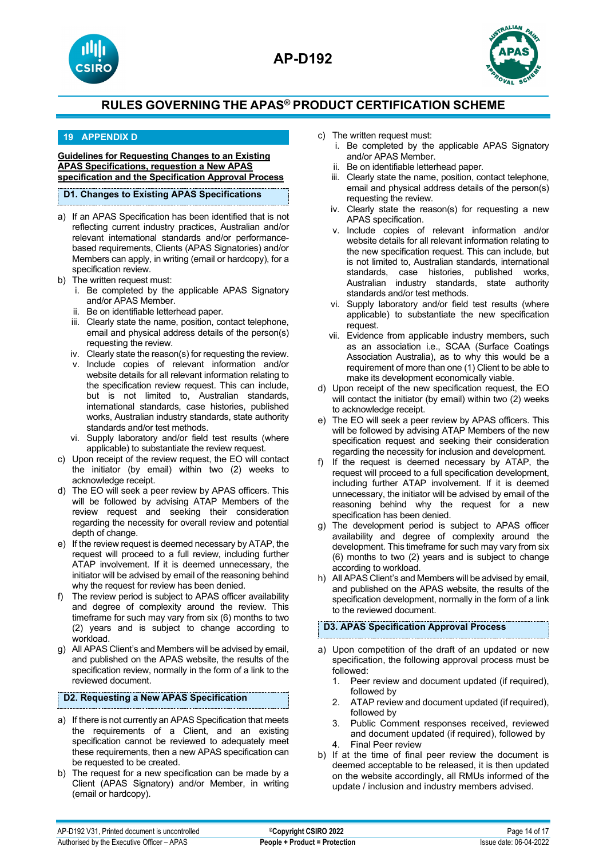





## **19 APPENDIX D**

**Guidelines for Requesting Changes to an Existing APAS Specifications, requestion a New APAS specification and the Specification Approval Process**

#### **D1. Changes to Existing APAS Specifications**

- a) If an APAS Specification has been identified that is not reflecting current industry practices, Australian and/or relevant international standards and/or performancebased requirements, Clients (APAS Signatories) and/or Members can apply, in writing (email or hardcopy), for a specification review.
- b) The written request must:
	- i. Be completed by the applicable APAS Signatory and/or APAS Member.
	- ii. Be on identifiable letterhead paper.
	- iii. Clearly state the name, position, contact telephone, email and physical address details of the person(s) requesting the review.
	- iv. Clearly state the reason(s) for requesting the review.
	- v. Include copies of relevant information and/or website details for all relevant information relating to the specification review request. This can include, but is not limited to, Australian standards, international standards, case histories, published works, Australian industry standards, state authority standards and/or test methods.
	- vi. Supply laboratory and/or field test results (where applicable) to substantiate the review request.
- c) Upon receipt of the review request, the EO will contact the initiator (by email) within two (2) weeks to acknowledge receipt.
- d) The EO will seek a peer review by APAS officers. This will be followed by advising ATAP Members of the review request and seeking their consideration regarding the necessity for overall review and potential depth of change.
- e) If the review request is deemed necessary by ATAP, the request will proceed to a full review, including further ATAP involvement. If it is deemed unnecessary, the initiator will be advised by email of the reasoning behind why the request for review has been denied.
- f) The review period is subject to APAS officer availability and degree of complexity around the review. This timeframe for such may vary from six (6) months to two (2) years and is subject to change according to workload.
- g) All APAS Client's and Members will be advised by email, and published on the APAS website, the results of the specification review, normally in the form of a link to the reviewed document.

## **D2. Requesting a New APAS Specification**

- a) If there is not currently an APAS Specification that meets the requirements of a Client, and an existing specification cannot be reviewed to adequately meet these requirements, then a new APAS specification can be requested to be created.
- b) The request for a new specification can be made by a Client (APAS Signatory) and/or Member, in writing (email or hardcopy).
- c) The written request must:
	- i. Be completed by the applicable APAS Signatory and/or APAS Member.
	- ii. Be on identifiable letterhead paper.
	- iii. Clearly state the name, position, contact telephone, email and physical address details of the person(s) requesting the review.
	- iv. Clearly state the reason(s) for requesting a new APAS specification.
	- v. Include copies of relevant information and/or website details for all relevant information relating to the new specification request. This can include, but is not limited to, Australian standards, international standards, case histories, published works, Australian industry standards, state authority standards and/or test methods.
	- vi. Supply laboratory and/or field test results (where applicable) to substantiate the new specification request.
	- vii. Evidence from applicable industry members, such as an association i.e., SCAA (Surface Coatings Association Australia), as to why this would be a requirement of more than one (1) Client to be able to make its development economically viable.
- d) Upon receipt of the new specification request, the EO will contact the initiator (by email) within two (2) weeks to acknowledge receipt.
- e) The EO will seek a peer review by APAS officers. This will be followed by advising ATAP Members of the new specification request and seeking their consideration regarding the necessity for inclusion and development.
- f) If the request is deemed necessary by ATAP, the request will proceed to a full specification development, including further ATAP involvement. If it is deemed unnecessary, the initiator will be advised by email of the reasoning behind why the request for a new specification has been denied.
- g) The development period is subject to APAS officer availability and degree of complexity around the development. This timeframe for such may vary from six (6) months to two (2) years and is subject to change according to workload.
- h) All APAS Client's and Members will be advised by email, and published on the APAS website, the results of the specification development, normally in the form of a link to the reviewed document.

## **D3. APAS Specification Approval Process**

- a) Upon competition of the draft of an updated or new specification, the following approval process must be followed:
	- 1. Peer review and document updated (if required), followed by
	- 2. ATAP review and document updated (if required), followed by
	- 3. Public Comment responses received, reviewed and document updated (if required), followed by 4. Final Peer review
- b) If at the time of final peer review the document is deemed acceptable to be released, it is then updated on the website accordingly, all RMUs informed of the update / inclusion and industry members advised.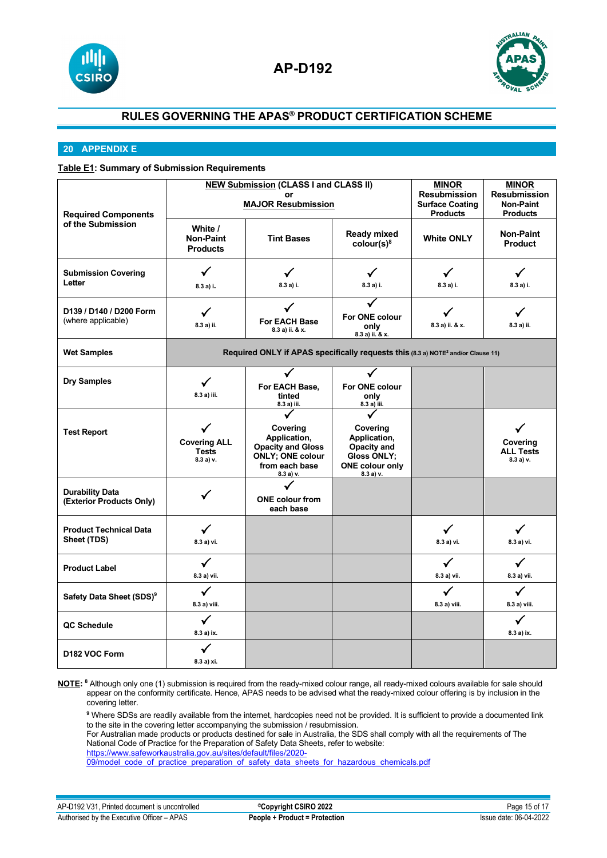



## **20 APPENDIX E**

## **Table E1: Summary of Submission Requirements**

|                                                    | <b>NEW Submission (CLASS I and CLASS II)</b>    |                                                                                                                |                                                                                                     | <b>MINOR</b>                                                     | <b>MINOR</b>                                               |
|----------------------------------------------------|-------------------------------------------------|----------------------------------------------------------------------------------------------------------------|-----------------------------------------------------------------------------------------------------|------------------------------------------------------------------|------------------------------------------------------------|
| <b>Required Components</b><br>of the Submission    | or<br><b>MAJOR Resubmission</b>                 |                                                                                                                |                                                                                                     | <b>Resubmission</b><br><b>Surface Coating</b><br><b>Products</b> | <b>Resubmission</b><br><b>Non-Paint</b><br><b>Products</b> |
|                                                    | White /<br><b>Non-Paint</b><br><b>Products</b>  | <b>Tint Bases</b>                                                                                              | <b>Ready mixed</b><br>color(s) <sup>8</sup>                                                         | <b>White ONLY</b>                                                | <b>Non-Paint</b><br>Product                                |
| <b>Submission Covering</b><br>Letter               | ✓<br>8.3 a) i.                                  | ✓<br>8.3 a) i.                                                                                                 | ✓<br>8.3 a) i.                                                                                      | ✓<br>8.3 a) i.                                                   | ✓<br>8.3 a) i.                                             |
| D139 / D140 / D200 Form<br>(where applicable)      | $\checkmark$<br>8.3 a) ii.                      | <b>For EACH Base</b><br>8.3 a) ii. & x.                                                                        | For ONE colour<br>only<br>$8.3 a$ ) ii. & x.                                                        | 8.3 a) ii. & x.                                                  | 8.3 a) ii.                                                 |
| <b>Wet Samples</b>                                 |                                                 | Required ONLY if APAS specifically requests this (8.3 a) NOTE <sup>2</sup> and/or Clause 11)                   |                                                                                                     |                                                                  |                                                            |
| <b>Dry Samples</b>                                 | ✓<br>8.3 a) iii.                                | For EACH Base,<br>tinted<br>8.3 a) iii.                                                                        | For ONE colour<br>only<br>8.3 a) iii.                                                               |                                                                  |                                                            |
| <b>Test Report</b>                                 | <b>Covering ALL</b><br><b>Tests</b><br>8.3a) v. | Covering<br>Application,<br><b>Opacity and Gloss</b><br><b>ONLY; ONE colour</b><br>from each base<br>8.3 a) v. | Covering<br>Application,<br>Opacity and<br><b>Gloss ONLY;</b><br><b>ONE colour only</b><br>8.3a) v. |                                                                  | Covering<br><b>ALL Tests</b><br>8.3 a) v.                  |
| <b>Durability Data</b><br>(Exterior Products Only) |                                                 | ✓<br><b>ONE</b> colour from<br>each base                                                                       |                                                                                                     |                                                                  |                                                            |
| <b>Product Technical Data</b><br>Sheet (TDS)       | ✓<br>8.3 a) vi.                                 |                                                                                                                |                                                                                                     | $\checkmark$<br>8.3 a) vi.                                       | $\checkmark$<br>8.3 a) vi.                                 |
| <b>Product Label</b>                               | ✓<br>8.3 a) vii.                                |                                                                                                                |                                                                                                     | ✓<br>8.3 a) vii.                                                 | $\checkmark$<br>8.3 a) vii.                                |
| Safety Data Sheet (SDS) <sup>9</sup>               | ✓<br>8.3 a) viii.                               |                                                                                                                |                                                                                                     | ✓<br>8.3 a) viii.                                                | ✓<br>8.3 a) viii.                                          |
| QC Schedule                                        | $\checkmark$<br>8.3 a) ix.                      |                                                                                                                |                                                                                                     |                                                                  | ✓<br>8.3 a) ix.                                            |
| D <sub>182</sub> VOC Form                          | ✓<br>8.3 a) xi.                                 |                                                                                                                |                                                                                                     |                                                                  |                                                            |

**NOTE: 8** Although only one (1) submission is required from the ready-mixed colour range, all ready-mixed colours available for sale should appear on the conformity certificate. Hence, APAS needs to be advised what the ready-mixed colour offering is by inclusion in the covering letter.

**<sup>9</sup>** Where SDSs are readily available from the internet, hardcopies need not be provided. It is sufficient to provide a documented link to the site in the covering letter accompanying the submission / resubmission.

For Australian made products or products destined for sale in Australia, the SDS shall comply with all the requirements of The National Code of Practice for the Preparation of Safety Data Sheets, refer to website:

[https://www.safeworkaustralia.gov.au/sites/default/files/2020-](https://www.safeworkaustralia.gov.au/sites/default/files/2020-09/model_code_of_practice_preparation_of_safety_data_sheets_for_hazardous_chemicals.pdf)

09/model\_code\_of\_practice\_preparation\_of\_safety\_data\_sheets\_for\_hazardous\_chemicals.pdf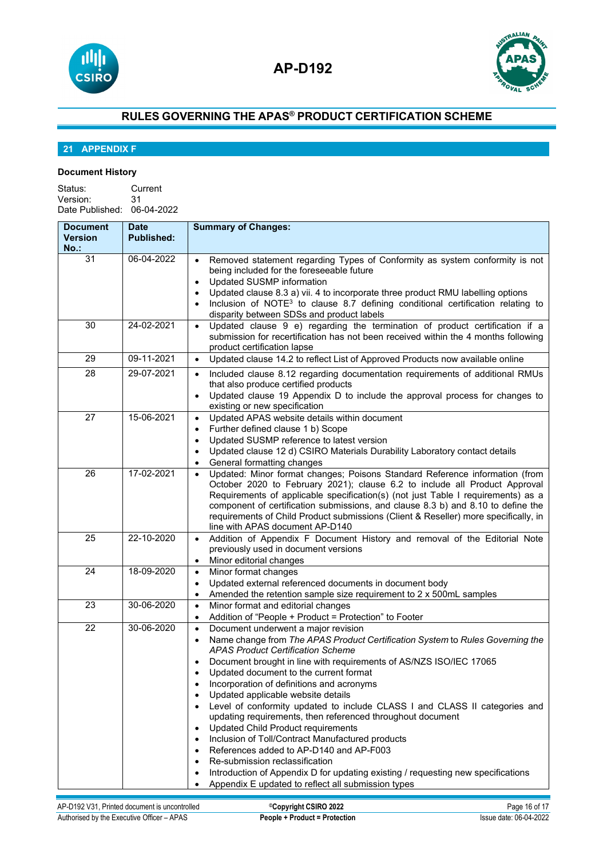



# **21 APPENDIX F**

## **Document History**

| Status:                    | Current |
|----------------------------|---------|
| Version:                   | 31      |
| Date Published: 06-04-2022 |         |

| <b>Document</b><br><b>Version</b><br>$No.$ : | <b>Date</b><br><b>Published:</b> | <b>Summary of Changes:</b>                                                                                                                                                                                                                                                                                                                                                                                                                                                                                                                                                                                                                                                                                                                                                                                                                                                                                                                                     |
|----------------------------------------------|----------------------------------|----------------------------------------------------------------------------------------------------------------------------------------------------------------------------------------------------------------------------------------------------------------------------------------------------------------------------------------------------------------------------------------------------------------------------------------------------------------------------------------------------------------------------------------------------------------------------------------------------------------------------------------------------------------------------------------------------------------------------------------------------------------------------------------------------------------------------------------------------------------------------------------------------------------------------------------------------------------|
| 31                                           | 06-04-2022                       | Removed statement regarding Types of Conformity as system conformity is not<br>being included for the foreseeable future<br><b>Updated SUSMP information</b><br>$\bullet$<br>Updated clause 8.3 a) vii. 4 to incorporate three product RMU labelling options<br>$\bullet$<br>Inclusion of NOTE <sup>3</sup> to clause 8.7 defining conditional certification relating to<br>disparity between SDSs and product labels                                                                                                                                                                                                                                                                                                                                                                                                                                                                                                                                          |
| 30                                           | 24-02-2021                       | Updated clause 9 e) regarding the termination of product certification if a<br>$\bullet$<br>submission for recertification has not been received within the 4 months following<br>product certification lapse                                                                                                                                                                                                                                                                                                                                                                                                                                                                                                                                                                                                                                                                                                                                                  |
| 29                                           | 09-11-2021                       | Updated clause 14.2 to reflect List of Approved Products now available online<br>$\bullet$                                                                                                                                                                                                                                                                                                                                                                                                                                                                                                                                                                                                                                                                                                                                                                                                                                                                     |
| 28                                           | 29-07-2021                       | Included clause 8.12 regarding documentation requirements of additional RMUs<br>$\bullet$<br>that also produce certified products<br>Updated clause 19 Appendix D to include the approval process for changes to<br>$\bullet$<br>existing or new specification                                                                                                                                                                                                                                                                                                                                                                                                                                                                                                                                                                                                                                                                                                 |
| 27                                           | 15-06-2021                       | Updated APAS website details within document<br>$\bullet$<br>Further defined clause 1 b) Scope<br>$\bullet$<br>Updated SUSMP reference to latest version<br>$\bullet$<br>Updated clause 12 d) CSIRO Materials Durability Laboratory contact details<br>$\bullet$<br>General formatting changes<br>$\bullet$                                                                                                                                                                                                                                                                                                                                                                                                                                                                                                                                                                                                                                                    |
| 26                                           | 17-02-2021                       | Updated: Minor format changes; Poisons Standard Reference information (from<br>$\bullet$<br>October 2020 to February 2021); clause 6.2 to include all Product Approval<br>Requirements of applicable specification(s) (not just Table I requirements) as a<br>component of certification submissions, and clause 8.3 b) and 8.10 to define the<br>requirements of Child Product submissions (Client & Reseller) more specifically, in<br>line with APAS document AP-D140                                                                                                                                                                                                                                                                                                                                                                                                                                                                                       |
| 25                                           | 22-10-2020                       | Addition of Appendix F Document History and removal of the Editorial Note<br>$\bullet$<br>previously used in document versions<br>Minor editorial changes<br>$\bullet$                                                                                                                                                                                                                                                                                                                                                                                                                                                                                                                                                                                                                                                                                                                                                                                         |
| 24                                           | 18-09-2020                       | Minor format changes<br>$\bullet$<br>Updated external referenced documents in document body<br>$\bullet$<br>Amended the retention sample size requirement to 2 x 500mL samples<br>$\bullet$                                                                                                                                                                                                                                                                                                                                                                                                                                                                                                                                                                                                                                                                                                                                                                    |
| 23                                           | 30-06-2020                       | Minor format and editorial changes<br>$\bullet$<br>Addition of "People + Product = Protection" to Footer<br>$\bullet$                                                                                                                                                                                                                                                                                                                                                                                                                                                                                                                                                                                                                                                                                                                                                                                                                                          |
| 22                                           | 30-06-2020                       | Document underwent a major revision<br>$\bullet$<br>Name change from The APAS Product Certification System to Rules Governing the<br>$\bullet$<br><b>APAS Product Certification Scheme</b><br>Document brought in line with requirements of AS/NZS ISO/IEC 17065<br>Updated document to the current format<br>$\bullet$<br>Incorporation of definitions and acronyms<br>٠<br>Updated applicable website details<br>$\bullet$<br>Level of conformity updated to include CLASS I and CLASS II categories and<br>$\bullet$<br>updating requirements, then referenced throughout document<br><b>Updated Child Product requirements</b><br>$\bullet$<br>Inclusion of Toll/Contract Manufactured products<br>$\bullet$<br>References added to AP-D140 and AP-F003<br>$\bullet$<br>Re-submission reclassification<br>٠<br>Introduction of Appendix D for updating existing / requesting new specifications<br>٠<br>Appendix E updated to reflect all submission types |